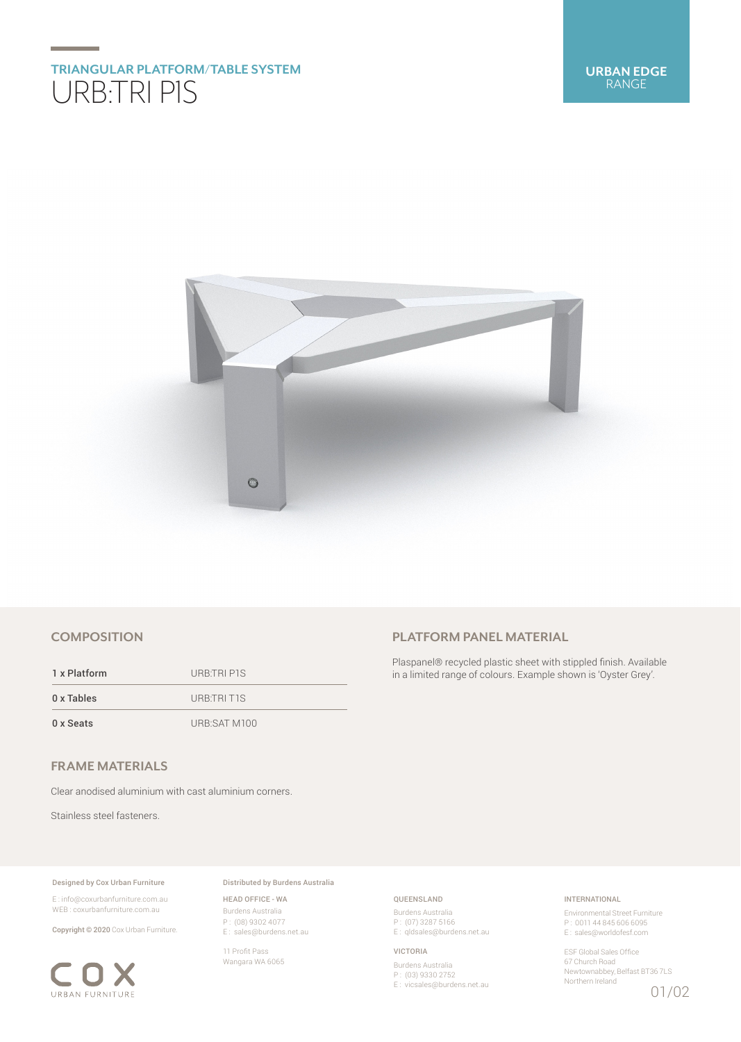# **TRIANGULAR PLATFORM/TABLE SYSTEM** URB:TRI P1S



## **COMPOSITION**

1 x Platform URB:TRI P1S 0 x Tables URB:TRI T1S 0 x Seats URB:SAT M100 **PLATFORM PANEL MATERIAL**

Plaspanel® recycled plastic sheet with stippled finish. Available in a limited range of colours. Example shown is 'Oyster Grey'.

## **FRAME MATERIALS**

Clear anodised aluminium with cast aluminium corners.

Stainless steel fasteners.

#### Designed by Cox Urban Furniture

E : info@coxurbanfurniture.com.au WEB : coxurbanfurniture.com.au

Copyright © 2020 Cox Urban Furniture.



Distributed by Burdens Australia

HEAD OFFICE - WA Burdens Australia P : (08) 9302 4077 E : sales@burdens.net.au

11 Profit Pass Wangara WA 6065

## QUEENSLAND

Burdens Australia P : (07) 3287 5166 E: qldsales@burdens.net.au

#### VICTORIA

Burdens Australia P : (03) 9330 2752 E : vicsales@burdens.net.au

## INTERNATIONAL

Environmental Street Furniture P : 0011 44 845 606 6095 E : sales@worldofesf.com

ESF Global Sales Office 67 Church Road Newtownabbey, Belfast BT36 7LS Northern Ireland 01/02